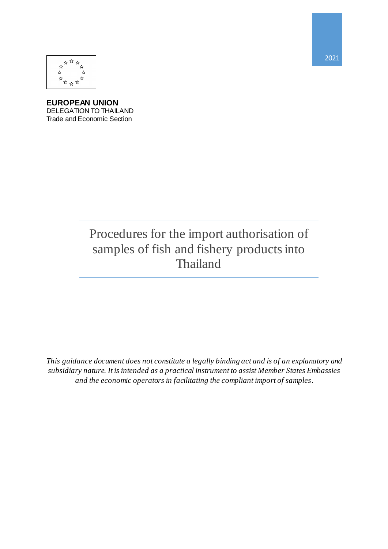

**EUROPEAN UNION** DELEGATION TO THAILAND Trade and Economic Section

# Procedures for the import authorisation of samples of fish and fishery products into Thailand

*This guidance document does not constitute a legally binding act and is of an explanatory and subsidiary nature. It is intended as a practical instrument to assist Member States Embassies and the economic operators in facilitating the compliant import of samples.*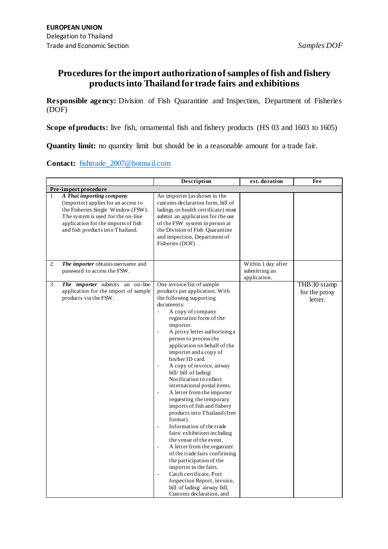## **Procedures for the import authorization of samples of fish and fishery products into Thailand for trade fairs and exhibitions**

**Responsible agency:** Division of Fish Quarantine and Inspection, Department of Fisheries (DOF)

**Scope of products:** live fish, ornamental fish and fishery products (HS 03 and 1603 to 1605)

**Quantity limit:** no quantity limit but should be in a reasonable amount for a trade fair.

**Contact:** [fishtrade\\_2007@hotmail.com](mailto:fishtrade_2007@hotmail.com)

|                      |                                                                                                                                                                                                                        | Description                                                                                                                                                                                                                                                                                                                                                                                                                                                                                                                                                                                                                                                                                                                                                                                                                                                                                                                                                                                                   | est. duration                                       | Fee                                      |  |  |  |  |
|----------------------|------------------------------------------------------------------------------------------------------------------------------------------------------------------------------------------------------------------------|---------------------------------------------------------------------------------------------------------------------------------------------------------------------------------------------------------------------------------------------------------------------------------------------------------------------------------------------------------------------------------------------------------------------------------------------------------------------------------------------------------------------------------------------------------------------------------------------------------------------------------------------------------------------------------------------------------------------------------------------------------------------------------------------------------------------------------------------------------------------------------------------------------------------------------------------------------------------------------------------------------------|-----------------------------------------------------|------------------------------------------|--|--|--|--|
| Pre-import procedure |                                                                                                                                                                                                                        |                                                                                                                                                                                                                                                                                                                                                                                                                                                                                                                                                                                                                                                                                                                                                                                                                                                                                                                                                                                                               |                                                     |                                          |  |  |  |  |
| 1.                   | A Thai importing company<br>(importer) applies for an access to<br>the Fisheries Single Window (FSW).<br>The system is used for the on-line<br>application for the imports of fish<br>and fish products into Thailand. | An importer (as shown in the<br>customs declaration form, bill of<br>ladings or health certificate) must<br>submit an application for the use<br>of the FSW system in person at<br>the Division of Fish Quarantine<br>and inspection, Department of<br>Fisheries (DOF)                                                                                                                                                                                                                                                                                                                                                                                                                                                                                                                                                                                                                                                                                                                                        |                                                     |                                          |  |  |  |  |
| 2.                   | The importer obtains username and<br>password to access the FSW.                                                                                                                                                       |                                                                                                                                                                                                                                                                                                                                                                                                                                                                                                                                                                                                                                                                                                                                                                                                                                                                                                                                                                                                               | Within 1 day after<br>submitting an<br>application. |                                          |  |  |  |  |
| 3.                   | The <i>importer</i> submits an on-line<br>application for the import of sample<br>products via the FSW.                                                                                                                | One invoice/list of sample<br>products per application. With<br>the following supporting<br>documents:<br>A copy of company<br>$\overline{a}$<br>registration form of the<br>importer.<br>A proxy letter authorizing a<br>$\frac{1}{2}$<br>person to process the<br>application on behalf of the<br>importer and a copy of<br>his/her ID card.<br>A copy of invoice, airway<br>Ξ<br>bill/ bill of lading/<br>Notification to collect<br>international postal items.<br>A letter from the importer<br>$\blacksquare$<br>requesting the temporary<br>imports of fish and fishery<br>products into Thailand (free<br>format).<br>Information of the trade<br>$\frac{1}{2}$<br>fairs/exhibitions including<br>the venue of the event.<br>A letter from the organizer<br>Ξ<br>of the trade fairs confirming<br>the participation of the<br>importer in the fairs.<br>Catch certificate, Port<br>$\overline{\phantom{a}}$<br>Inspection Report, invoice,<br>bill of lading/airway bill,<br>Customs declaration, and |                                                     | THB 30 stamp<br>for the proxy<br>letter. |  |  |  |  |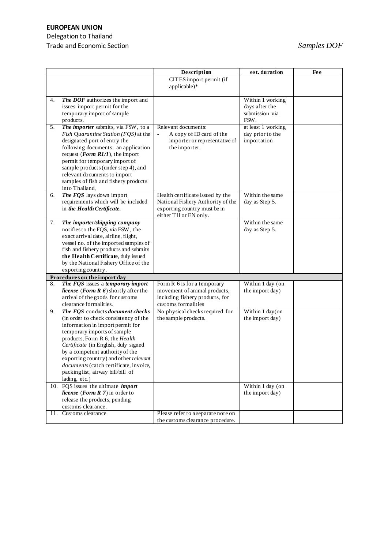# **EUROPEAN UNION**

### Delegation to Thailand Trade and Economic Section **Samples DOF** Samples DOF

|    |                                                                   | Description                                | est. duration      | Fee |
|----|-------------------------------------------------------------------|--------------------------------------------|--------------------|-----|
|    |                                                                   | CITES import permit (if                    |                    |     |
|    |                                                                   | applicable)*                               |                    |     |
|    |                                                                   |                                            |                    |     |
| 4. | The DOF authorizes the import and                                 |                                            | Within 1 working   |     |
|    | issues import permit for the                                      |                                            | days after the     |     |
|    | temporary import of sample                                        |                                            | submission via     |     |
|    | products.                                                         |                                            | FSW.               |     |
| 5. | The importer submits, via FSW, to a                               | Relevant documents:                        | at least 1 working |     |
|    | Fish Quarantine Station (FQS) at the                              | A copy of ID card of the<br>$\blacksquare$ | day prior to the   |     |
|    | designated port of entry the                                      | importer or representative of              | importation        |     |
|    | following documents: an application                               | the importer.                              |                    |     |
|    | request ( <i>Form R1/1</i> ), the import                          |                                            |                    |     |
|    | permit for temporary import of                                    |                                            |                    |     |
|    | sample products (under step 4), and                               |                                            |                    |     |
|    | relevant documents to import                                      |                                            |                    |     |
|    | samples of fish and fishery products                              |                                            |                    |     |
|    | into Thailand,                                                    |                                            |                    |     |
| 6. | The FQS lays down import                                          | Health certificate issued by the           | Within the same    |     |
|    | requirements which will be included                               | National Fishery Authority of the          | day as Step 5.     |     |
|    | in the Health Certificate.                                        | exporting country must be in               |                    |     |
|    |                                                                   | either TH or EN only.                      |                    |     |
| 7. | The importer/shipping company                                     |                                            | Within the same    |     |
|    | notifies to the FQS, via FSW, the                                 |                                            | day as Step 5.     |     |
|    | exact arrival date, airline, flight,                              |                                            |                    |     |
|    | vessel no. of the imported samples of                             |                                            |                    |     |
|    | fish and fishery products and submits                             |                                            |                    |     |
|    | the Health Certificate, duly issued                               |                                            |                    |     |
|    | by the National Fishery Office of the<br>exporting country.       |                                            |                    |     |
|    |                                                                   |                                            |                    |     |
| 8. | Procedures on the import day<br>The FQS issues a temporary import | Form R 6 is for a temporary                | Within 1 day (on   |     |
|    | license (Form $R$ 6) shortly after the                            | movement of animal products,               | the import day)    |     |
|    | arrival of the goods for customs                                  | including fishery products, for            |                    |     |
|    | clearance formalities.                                            | customs formalities                        |                    |     |
| 9. | The FQS conducts document checks                                  | No physical checks required for            | Within 1 day(on    |     |
|    | (in order to check consistency of the                             | the sample products.                       | the import day)    |     |
|    | information in import permit for                                  |                                            |                    |     |
|    | temporary imports of sample                                       |                                            |                    |     |
|    | products, Form R 6, the Health                                    |                                            |                    |     |
|    | Certificate (in English, duly signed                              |                                            |                    |     |
|    | by a competent authority of the                                   |                                            |                    |     |
|    | exporting country) and other relevant                             |                                            |                    |     |
|    | documents (catch certificate, invoice,                            |                                            |                    |     |
|    | packinglist, airway bill/bill of                                  |                                            |                    |     |
|    | lading, etc.)                                                     |                                            |                    |     |
|    | 10. FQS issues the ultimate <i>import</i>                         |                                            | Within 1 day (on   |     |
|    | <i>license</i> ( <i>Form R 7</i> ) in order to                    |                                            | the import day)    |     |
|    | release the products, pending                                     |                                            |                    |     |
|    | customs clearance.                                                |                                            |                    |     |
|    | 11. Customs clearance                                             | Please refer to a separate note on         |                    |     |
|    |                                                                   | the customs clearance procedure.           |                    |     |